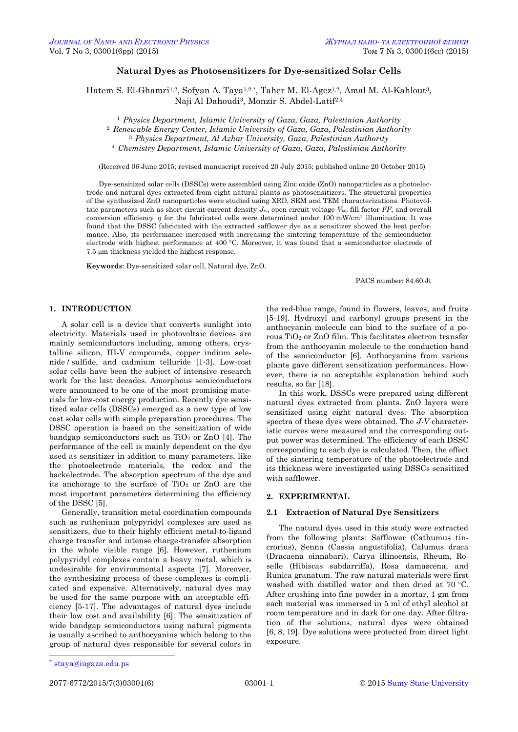# **Natural Dyes as Photosensitizers for Dye-sensitized Solar Cells**

Hatem S. El-Ghamri<sup>1,2</sup>, Sofyan A. Taya<sup>1,2,\*</sup>, Taher M. El-Agez<sup>1,2</sup>, Amal M. Al-Kahlout<sup>3</sup>, Naji Al Dahoudi3, Monzir S. Abdel-Latif2,4

 *Physics Department, Islamic University of Gaza, Gaza, Palestinian Authority Renewable Energy Center, Islamic University of Gaza, Gaza, Palestinian Authority Physics Department, Al Azhar University, Gaza, Palestinian Authority Chemistry Department, Islamic University of Gaza, Gaza, Palestinian Authority*

(Received 06 June 2015; revised manuscript received 20 July 2015; published online 20 October 2015)

Dye-sensitized solar cells (DSSCs) were assembled using Zinc oxide (ZnO) nanoparticles as a photoelectrode and natural dyes extracted from eight natural plants as photosensitizers. The structural properties of the synthesized ZnO nanoparticles were studied using XRD, SEM and TEM characterizations. Photovoltaic parameters such as short circuit current density  $J_{sc}$ , open circuit voltage  $V_{oc}$ , fill factor  $FF$ , and overall conversion efficiency  $\eta$  for the fabricated cells were determined under 100 mW/cm<sup>2</sup> illumination. It was found that the DSSC fabricated with the extracted safflower dye as a sensitizer showed the best performance. Also, its performance increased with increasing the sintering temperature of the semiconductor electrode with highest performance at 400 °C. Moreover, it was found that a semiconductor electrode of 7.5 µm thickness yielded the highest response.

**Keywords**: Dye-sensitized solar cell, Natural dye, ZnO.

PACS number: 84.60.Jt

# **1. INTRODUCTION**

A solar cell is a device that converts sunlight into electricity. Materials used in photovoltaic devices are mainly semiconductors including, among others, crystalline silicon, III-V compounds, copper indium selenide / sulfide, and cadmium telluride [1-3]. Low-cost solar cells have been the subject of intensive research work for the last decades. Amorphous semiconductors were announced to be one of the most promising materials for low-cost energy production. Recently dye sensitized solar cells (DSSCs) emerged as a new type of low cost solar cells with simple preparation procedures. The DSSC operation is based on the sensitization of wide bandgap semiconductors such as  $TiO<sub>2</sub>$  or  $ZnO$  [4]. The performance of the cell is mainly dependent on the dye used as sensitizer in addition to many parameters, like the photoelectrode materials, the redox and the backelectrode. The absorption spectrum of the dye and its anchorage to the surface of  $TiO<sub>2</sub>$  or  $ZnO$  are the most important parameters determining the efficiency of the DSSC [5].

Generally, transition metal coordination compounds such as ruthenium polypyridyl complexes are used as sensitizers, due to their highly efficient metal-to-ligand charge transfer and intense charge-transfer absorption in the whole visible range [6]. However, ruthenium polypyridyl complexes contain a heavy metal, which is undesirable for environmental aspects [7]. Moreover, the synthesizing process of these complexes is complicated and expensive. Alternatively, natural dyes may be used for the same purpose with an acceptable efficiency [5-17]. The advantages of natural dyes include their low cost and availability [6]. The sensitization of wide bandgap semiconductors using natural pigments is usually ascribed to anthocyanins which belong to the group of natural dyes responsible for several colors in

the red-blue range, found in flowers, leaves, and fruits [5-19]. Hydroxyl and carbonyl groups present in the anthocyanin molecule can bind to the surface of a porous TiO<sup>2</sup> or ZnO film. This facilitates electron transfer from the anthocyanin molecule to the conduction band of the semiconductor [6]. Anthocyanins from various plants gave different sensitization performances. However, there is no acceptable explanation behind such results, so far [18].

In this work, DSSCs were prepared using different natural dyes extracted from plants. ZnO layers were sensitized using eight natural dyes. The absorption spectra of these dyes were obtained. The *J-V* characteristic curves were measured and the corresponding output power was determined. The efficiency of each DSSC corresponding to each dye is calculated. Then, the effect of the sintering temperature of the photoelectrode and its thickness were investigated using DSSCs sensitized with safflower.

# **2. EXPERIMENTAL**

### **2.1 Extraction of Natural Dye Sensitizers**

The natural dyes used in this study were extracted from the following plants: Safflower (Cathumus tincrorius), Senna (Cassia angustifolia), Calumus draca (Dracaena oinnabari), Carya illinoensis, Rheum, Roselle (Hibiscas sabdarriffa), Rosa damascena, and Runica granatum. The raw natural materials were first washed with distilled water and then dried at 70 °C. After crushing into fine powder in a mortar, 1 gm from each material was immersed in 5 ml of ethyl alcohol at room temperature and in dark for one day. After filtration of the solutions, natural dyes were obtained [6, 8, 19]. Dye solutions were protected from direct light exposure.

1

<span id="page-0-3"></span><span id="page-0-2"></span><span id="page-0-1"></span><span id="page-0-0"></span>

<sup>\*</sup> [staya@iugaza.edu.ps](mailto:staya@iugaza.edu.ps)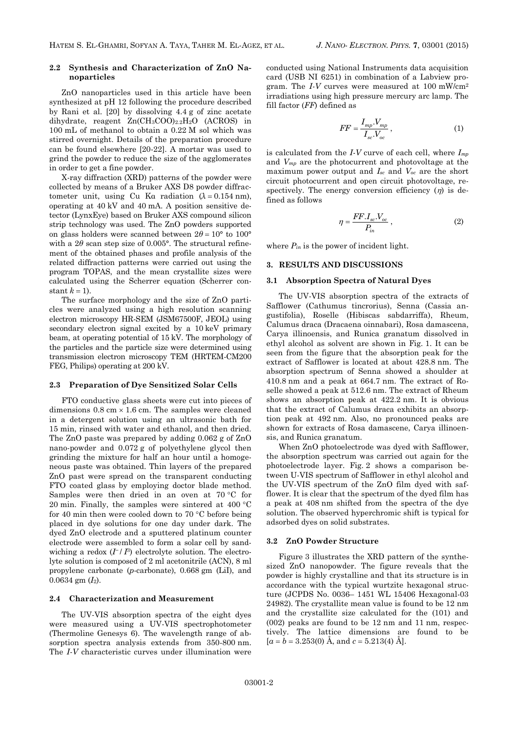### **2.2 Synthesis and Characterization of ZnO Nanoparticles**

ZnO nanoparticles used in this article have been synthesized at pH 12 following the procedure described by Rani et al. [20] by dissolving 4.4 g of zinc acetate dihydrate, reagent  $Zn(CH_3COO)_{2.2}H_2O$  (ACROS) in 100 mL of methanol to obtain a 0.22 M sol which was stirred overnight. Details of the preparation procedure can be found elsewhere [20-22]. A mortar was used to grind the powder to reduce the size of the agglomerates in order to get a fine powder.

X-ray diffraction (XRD) patterns of the powder were collected by means of a Bruker AXS D8 powder diffractometer unit, using Cu Ka radiation  $(\lambda = 0.154 \text{ nm})$ , operating at 40 kV and 40 mA. A position sensitive detector (LynxEye) based on Bruker AXS compound silicon strip technology was used. The ZnO powders supported on glass holders were scanned between  $2\theta = 10^{\circ}$  to  $100^{\circ}$ with a  $2\theta$  scan step size of 0.005°. The structural refinement of the obtained phases and profile analysis of the related diffraction patterns were carried out using the program TOPAS, and the mean crystallite sizes were calculated using the Scherrer equation (Scherrer constant  $k = 1$ ).

The surface morphology and the size of ZnO particles were analyzed using a high resolution scanning electron microscopy HR-SEM (JSM67500F, JEOL) using secondary electron signal excited by a 10 keV primary beam, at operating potential of 15 kV. The morphology of the particles and the particle size were determined using transmission electron microscopy TEM (HRTEM-CM200 FEG, Philips) operating at 200 kV.

## **2.3 Preparation of Dye Sensitized Solar Cells**

FTO conductive glass sheets were cut into pieces of dimensions  $0.8 \text{ cm} \times 1.6 \text{ cm}$ . The samples were cleaned in a detergent solution using an ultrasonic bath for 15 min, rinsed with water and ethanol, and then dried. The ZnO paste was prepared by adding 0.062 g of ZnO nano-powder and 0.072 g of polyethylene glycol then grinding the mixture for half an hour until a homogeneous paste was obtained. Thin layers of the prepared ZnO past were spread on the transparent conducting FTO coated glass by employing doctor blade method. Samples were then dried in an oven at  $70 °C$  for 20 min. Finally, the samples were sintered at  $400 °C$ for 40 min then were cooled down to 70  $\degree$ C before being placed in dye solutions for one day under dark. The dyed ZnO electrode and a sputtered platinum counter electrode were assembled to form a solar cell by sandwiching a redox  $(I^{-}/I^3)$  electrolyte solution. The electrolyte solution is composed of 2 ml acetonitrile (ACN), 8 ml propylene carbonate (*p*-carbonate), 0.668 gm (LiI), and 0.0634 gm (*I*2).

#### **2.4 Characterization and Measurement**

The UV-VIS absorption spectra of the eight dyes were measured using a UV-VIS spectrophotometer (Thermoline Genesys 6). The wavelength range of absorption spectra analysis extends from 350-800 nm. The *I-V* characteristic curves under illumination were conducted using National Instruments data acquisition card (USB NI 6251) in combination of a Labview program. The *I-V* curves were measured at 100 mW/cm<sup>2</sup> irradiations using high pressure mercury arc lamp. The fill factor (*FF*) defined as

$$
FF = \frac{I_{mp} \cdot V_{mp}}{I_{sc} \cdot V_{oc}}\,,\tag{1}
$$

is calculated from the *I-V* curve of each cell, where *Imp* and *Vmp* are the photocurrent and photovoltage at the maximum power output and *Isc* and *Voc* are the short circuit photocurrent and open circuit photovoltage, respectively. The energy conversion efficiency  $(\eta)$  is defined as follows

$$
\eta = \frac{FF.I_{sc}.V_{oc}}{P_{in}}\,,\tag{2}
$$

where  $P_{in}$  is the power of incident light.

### **3. RESULTS AND DISCUSSIONS**

# **3.1 Absorption Spectra of Natural Dyes**

The UV-VIS absorption spectra of the extracts of Safflower (Cathumus tincrorius), Senna (Cassia angustifolia), Roselle (Hibiscas sabdarriffa), Rheum, Calumus draca (Dracaena oinnabari), Rosa damascena, Carya illinoensis, and Runica granatum dissolved in ethyl alcohol as solvent are shown in Fig. 1. It can be seen from the figure that the absorption peak for the extract of Safflower is located at about 428.8 nm. The absorption spectrum of Senna showed a shoulder at 410.8 nm and a peak at 664.7 nm. The extract of Roselle showed a peak at 512.6 nm. The extract of Rheum shows an absorption peak at 422.2 nm. It is obvious that the extract of Calumus draca exhibits an absorption peak at 492 nm. Also, no pronounced peaks are shown for extracts of Rosa damascene, Carya illinoensis, and Runica granatum.

When ZnO photoelectrode was dyed with Safflower, the absorption spectrum was carried out again for the photoelectrode layer. Fig. 2 shows a comparison between U-VIS spectrum of Safflower in ethyl alcohol and the UV-VIS spectrum of the ZnO film dyed with safflower. It is clear that the spectrum of the dyed film has a peak at 408 nm shifted from the spectra of the dye solution. The observed hyperchromic shift is typical for adsorbed dyes on solid substrates.

#### **3.2 ZnO Powder Structure**

Figure 3 illustrates the XRD pattern of the synthesized ZnO nanopowder. The figure reveals that the powder is highly crystalline and that its structure is in accordance with the typical wurtzite hexagonal structure (JCPDS No. 0036– 1451 WL 15406 Hexagonal-03 24982). The crystallite mean value is found to be 12 nm and the crystallite size calculated for the (101) and (002) peaks are found to be 12 nm and 11 nm, respectively. The lattice dimensions are found to be  $[a = b = 3.253(0)$  Å, and  $c = 5.213(4)$  Å.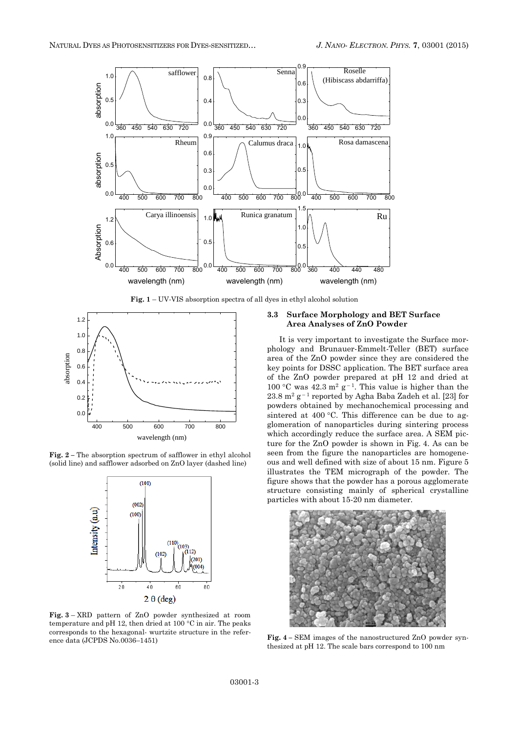

**Fig. 1** – UV-VIS absorption spectra of all dyes in ethyl alcohol solution



**Fig. 2 –** The absorption spectrum of safflower in ethyl alcohol (solid line) and safflower adsorbed on ZnO layer (dashed line)



**Fig. 3** – XRD pattern of ZnO powder synthesized at room temperature and pH 12, then dried at 100  $\rm{^{\circ}C}$  in air. The peaks corresponds to the hexagonal- wurtzite structure in the reference data (JCPDS No.0036–1451)

# **3.3 Surface Morphology and BET Surface Area Analyses of ZnO Powder**

It is very important to investigate the Surface morphology and Brunauer-Emmelt-Teller (BET) surface area of the ZnO powder since they are considered the key points for DSSC application. The BET surface area of the ZnO powder prepared at pH 12 and dried at 100 °C was  $42.3 \text{ m}^2 \text{ g}^{-1}$ . This value is higher than the  $23.8 \text{ m}^2 \text{ g}^{-1}$  reported by Agha Baba Zadeh et al. [23] for powders obtained by mechanochemical processing and sintered at  $400^{\circ}$ C. This difference can be due to agglomeration of nanoparticles during sintering process which accordingly reduce the surface area. A SEM picture for the ZnO powder is shown in Fig. 4. As can be seen from the figure the nanoparticles are homogeneous and well defined with size of about 15 nm. Figure 5 illustrates the TEM micrograph of the powder. The figure shows that the powder has a porous agglomerate structure consisting mainly of spherical crystalline particles with about 15-20 nm diameter.



**Fig. 4 –** SEM images of the nanostructured ZnO powder synthesized at pH 12. The scale bars correspond to 100 nm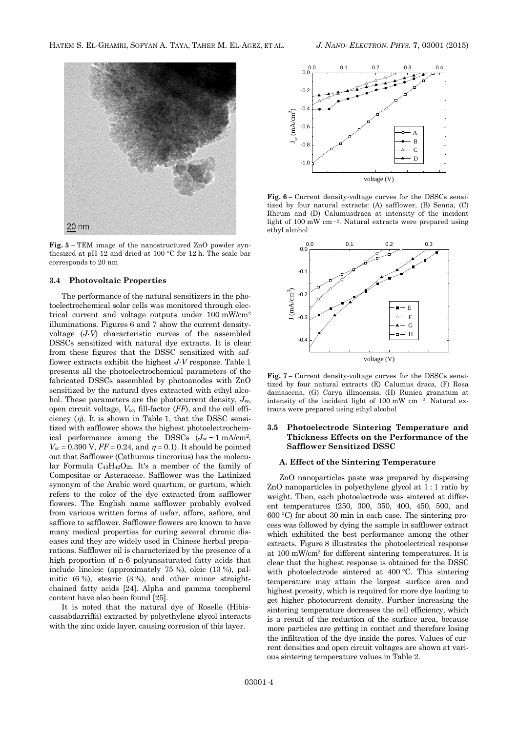

**Fig. 5** – TEM image of the nanostructured ZnO powder synthesized at pH 12 and dried at 100 °C for 12 h. The scale bar corresponds to 20 nm

### **3.4 Photovoltaic Properties**

The performance of the natural sensitizers in the photoelectrochemical solar cells was monitored through electrical current and voltage outputs under 100 mW/cm<sup>2</sup> illuminations. Figures 6 and 7 show the current densityvoltage (*J-V*) characteristic curves of the assembled DSSCs sensitized with natural dye extracts. It is clear from these figures that the DSSC sensitized with safflower extracts exhibit the highest *J-V* response. Table 1 presents all the photoelectrochemical parameters of the fabricated DSSCs assembled by photoanodes with ZnO sensitized by the natural dyes extracted with ethyl alcohol. These parameters are the photocurrent density, *Jsc*, open circuit voltage, *Voc*, fill-factor (*FF*), and the cell efficiency  $(\eta)$ . It is shown in Table 1, that the DSSC sensitized with safflower shows the highest photoelectrochemical performance among the DSSCs  $(J_{sc} = 1 \text{ mA/cm}^2)$ ,  $V_{oc} = 0.390 \text{ V}$ ,  $FF = 0.24$ , and  $\eta = 0.1$ ). It should be pointed out that Safflower (Cathumus tincrorius) has the molecular Formula  $C_{43}H_{42}O_{22}$ . It's a member of the family of Compositae or Asteraceae. Safflower was the Latinized synonym of the Arabic word quartum, or gurtum, which refers to the color of the dye extracted from safflower flowers. The English name safflower probably evolved from various written forms of usfar, affore, asfiore, and saffiore to safflower. Safflower flowers are known to have many medical properties for curing several chronic diseases and they are widely used in Chinese herbal preparations. Safflower oil is characterized by the presence of a high proportion of n-6 polyunsaturated fatty acids that include linoleic (approximately 75 %), oleic (13 %), palmitic (6 %), stearic (3 %), and other minor straightchained fatty acids [24]. Alpha and gamma tocopherol content have also been found [25].

It is noted that the natural dye of Roselle (Hibiscassabdarriffa) extracted by polyethylene glycol interacts with the zinc oxide layer, causing corrosion of this layer.



**Fig. 6 –** Current density-voltage curves for the DSSCs sensitized by four natural extracts: (A) safflower, (B) Senna, (C) Rheum and (D) Calumusdraca at intensity of the incident light of 100 mW cm<sup>-2</sup>. Natural extracts were prepared using ethyl alcohol



**Fig. 7 –** Current density-voltage curves for the DSSCs sensitized by four natural extracts (E) Calumus draca, (F) Rosa damascena, (G) Carya illinoensis, (H) Runica granatum at intensity of the incident light of  $100 \text{ mW cm}$  -2. Natural extracts were prepared using ethyl alcohol

# **3.5 Photoelectrode Sintering Temperature and Thickness Effects on the Performance of the Safflower Sensitized DSSC**

# **A. Effect of the Sintering Temperature**

ZnO nanoparticles paste was prepared by dispersing ZnO nanoparticles in polyethylene glycol at 1 : 1 ratio by weight. Then, each photoelectrode was sintered at different temperatures (250, 300, 350, 400, 450, 500, and 600 C) for about 30 min in each case. The sintering process was followed by dying the sample in safflower extract which exhibited the best performance among the other extracts. Figure 8 illustrates the photoelectrical response at 100 mW/cm<sup>2</sup> for different sintering temperatures. It is clear that the highest response is obtained for the DSSC with photoelectrode sintered at  $400\text{ °C}$ . This sintering temperature may attain the largest surface area and highest porosity, which is required for more dye loading to get higher photocurrent density. Further increasing the sintering temperature decreases the cell efficiency, which is a result of the reduction of the surface area, because more particles are getting in contact and therefore losing the infiltration of the dye inside the pores. Values of current densities and open circuit voltages are shown at various sintering temperature values in Table 2.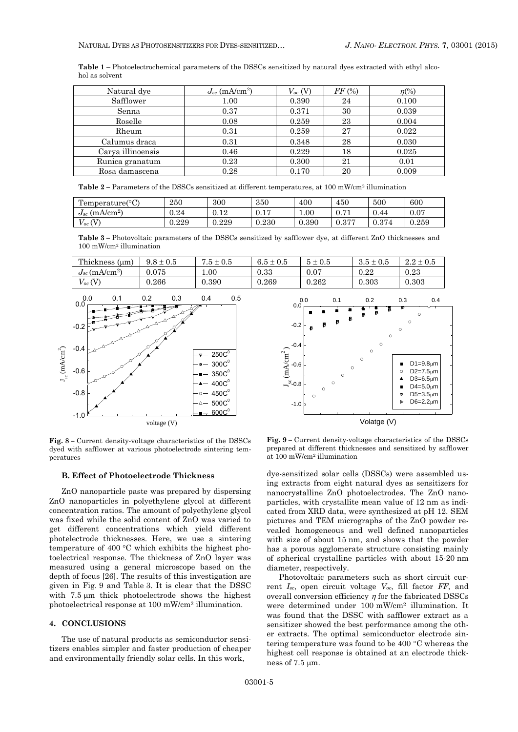**Table 1** – Photoelectrochemical parameters of the DSSCs sensitized by natural dyes extracted with ethyl alcohol as solvent

| Natural dye       | $J_{sc}$ (mA/cm <sup>2</sup> ) | $V_{oc}$ (V) | FF(%) | $\eta$ <sup>(%)</sup> |
|-------------------|--------------------------------|--------------|-------|-----------------------|
| Safflower         | 1.00                           | 0.390        | 24    | 0.100                 |
| Senna             | 0.37                           | 0.371        | 30    | 0.039                 |
| Roselle           | 0.08                           | 0.259        | 23    | 0.004                 |
| Rheum             | 0.31                           | 0.259        | 27    | 0.022                 |
| Calumus draca     | 0.31                           | 0.348        | 28    | 0.030                 |
| Carya illinoensis | 0.46                           | 0.229        | 18    | 0.025                 |
| Runica granatum   | 0.23                           | 0.300        | 21    | 0.01                  |
| Rosa damascena    | 0.28                           | 0.170        | 20    | 0.009                 |

**Table** 2 – Parameters of the DSSCs sensitized at different temperatures, at 100 mW/cm<sup>2</sup> illumination

| Pemperature(°C)<br>$\mathbf{r}$ | 250   | 300         | 350                   | 400   | 450                                   | 500                | 600       |
|---------------------------------|-------|-------------|-----------------------|-------|---------------------------------------|--------------------|-----------|
| $J_{sc}$ (mA/cm <sup>2</sup> )  | 0.24  | 19<br>v. 14 | $\overline{1}$<br>V.I | 0.01  | $\Omega$ $\pi$ <sup>1</sup><br>v. 1 1 | 0.44               | $0.07\,$  |
| ŒΤ<br>$V_{OC}$                  | 0.229 | ${0.229}$   | 0.230                 | 0.390 | 0.277<br>∪.⊍ ≀                        | $\Omega$<br>V.Ə 14 | ${0.259}$ |

**Table 3 –** Photovoltaic parameters of the DSSCs sensitized by safflower dye, at different ZnO thicknesses and 100 mW/cm<sup>2</sup> illumination



**Fig. 8 –** Current density-voltage characteristics of the DSSCs dyed with safflower at various photoelectrode sintering temperatures

### **B. Effect of Photoelectrode Thickness**

ZnO nanoparticle paste was prepared by dispersing ZnO nanoparticles in polyethylene glycol at different concentration ratios. The amount of polyethylene glycol was fixed while the solid content of ZnO was varied to get different concentrations which yield different photelectrode thicknesses. Here, we use a sintering temperature of 400  $\degree$ C which exhibits the highest photoelectrical response. The thickness of ZnO layer was measured using a general microscope based on the depth of focus [26]. The results of this investigation are given in Fig. 9 and Table 3. It is clear that the DSSC with 7.5 um thick photoelectrode shows the highest photoelectrical response at 100 mW/cm<sup>2</sup> illumination.

### **4. CONCLUSIONS**

The use of natural products as semiconductor sensitizers enables simpler and faster production of cheaper and environmentally friendly solar cells. In this work,



**Fig. 9 –** Current density-voltage characteristics of the DSSCs prepared at different thicknesses and sensitized by safflower at 100 mW/cm<sup>2</sup> illumination

dye-sensitized solar cells (DSSCs) were assembled using extracts from eight natural dyes as sensitizers for nanocrystalline ZnO photoelectrodes. The ZnO nanoparticles, with crystallite mean value of 12 nm as indicated from XRD data, were synthesized at pH 12. SEM pictures and TEM micrographs of the ZnO powder revealed homogeneous and well defined nanoparticles with size of about 15 nm, and shows that the powder has a porous agglomerate structure consisting mainly of spherical crystalline particles with about 15-20 nm diameter, respectively.

Photovoltaic parameters such as short circuit current *Isc*, open circuit voltage *Voc*, fill factor *FF*, and overall conversion efficiency  $\eta$  for the fabricated DSSCs were determined under 100 mW/cm<sup>2</sup> illumination. It was found that the DSSC with safflower extract as a sensitizer showed the best performance among the other extracts. The optimal semiconductor electrode sintering temperature was found to be  $400^{\circ}$ C whereas the highest cell response is obtained at an electrode thickness of  $7.5 \mu m$ .